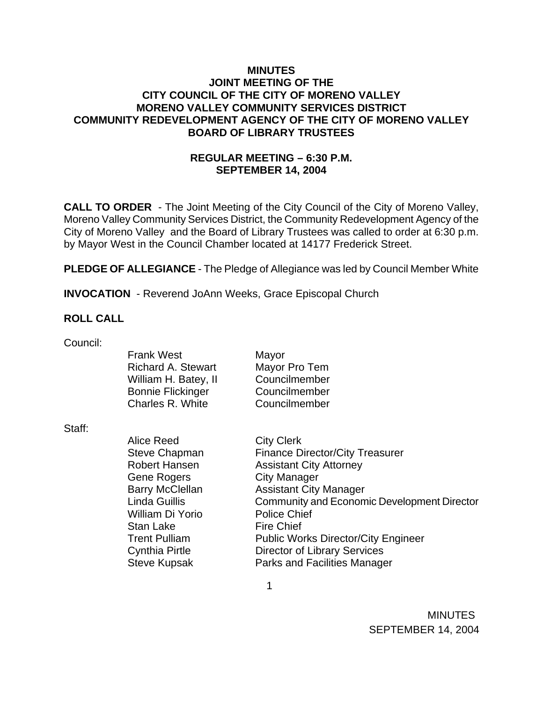### **MINUTES JOINT MEETING OF THE CITY COUNCIL OF THE CITY OF MORENO VALLEY MORENO VALLEY COMMUNITY SERVICES DISTRICT COMMUNITY REDEVELOPMENT AGENCY OF THE CITY OF MORENO VALLEY BOARD OF LIBRARY TRUSTEES**

## **REGULAR MEETING – 6:30 P.M. SEPTEMBER 14, 2004**

**CALL TO ORDER** - The Joint Meeting of the City Council of the City of Moreno Valley, Moreno Valley Community Services District, the Community Redevelopment Agency of the City of Moreno Valley and the Board of Library Trustees was called to order at 6:30 p.m. by Mayor West in the Council Chamber located at 14177 Frederick Street.

**PLEDGE OF ALLEGIANCE** - The Pledge of Allegiance was led by Council Member White

**INVOCATION** - Reverend JoAnn Weeks, Grace Episcopal Church

### **ROLL CALL**

| Council: |                           |                                             |
|----------|---------------------------|---------------------------------------------|
|          | <b>Frank West</b>         | Mayor                                       |
|          | <b>Richard A. Stewart</b> | Mayor Pro Tem                               |
|          | William H. Batey, II      | Councilmember                               |
|          | <b>Bonnie Flickinger</b>  | Councilmember                               |
|          | Charles R. White          | Councilmember                               |
| Staff:   |                           |                                             |
|          | Alice Reed                | <b>City Clerk</b>                           |
|          | Steve Chapman             | <b>Finance Director/City Treasurer</b>      |
|          | Robert Hansen             | <b>Assistant City Attorney</b>              |
|          | Gene Rogers               | <b>City Manager</b>                         |
|          | <b>Barry McClellan</b>    | <b>Assistant City Manager</b>               |
|          | Linda Guillis             | Community and Economic Development Director |
|          | William Di Yorio          | <b>Police Chief</b>                         |
|          | Stan Lake                 | <b>Fire Chief</b>                           |
|          | <b>Trent Pulliam</b>      | <b>Public Works Director/City Engineer</b>  |
|          | <b>Cynthia Pirtle</b>     | <b>Director of Library Services</b>         |
|          | <b>Steve Kupsak</b>       | <b>Parks and Facilities Manager</b>         |
|          |                           |                                             |
|          |                           |                                             |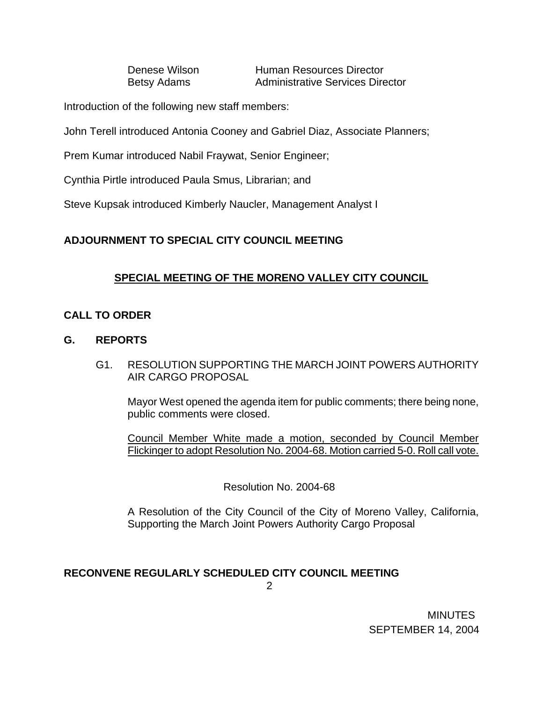Denese Wilson Human Resources Director Betsy Adams **Administrative Services Director** 

Introduction of the following new staff members:

John Terell introduced Antonia Cooney and Gabriel Diaz, Associate Planners;

Prem Kumar introduced Nabil Fraywat, Senior Engineer;

Cynthia Pirtle introduced Paula Smus, Librarian; and

Steve Kupsak introduced Kimberly Naucler, Management Analyst I

# **ADJOURNMENT TO SPECIAL CITY COUNCIL MEETING**

# **SPECIAL MEETING OF THE MORENO VALLEY CITY COUNCIL**

### **CALL TO ORDER**

### **G. REPORTS**

G1. RESOLUTION SUPPORTING THE MARCH JOINT POWERS AUTHORITY AIR CARGO PROPOSAL

Mayor West opened the agenda item for public comments; there being none, public comments were closed.

 Council Member White made a motion, seconded by Council Member Flickinger to adopt Resolution No. 2004-68. Motion carried 5-0. Roll call vote.

Resolution No. 2004-68

 A Resolution of the City Council of the City of Moreno Valley, California, Supporting the March Joint Powers Authority Cargo Proposal

# **RECONVENE REGULARLY SCHEDULED CITY COUNCIL MEETING**

2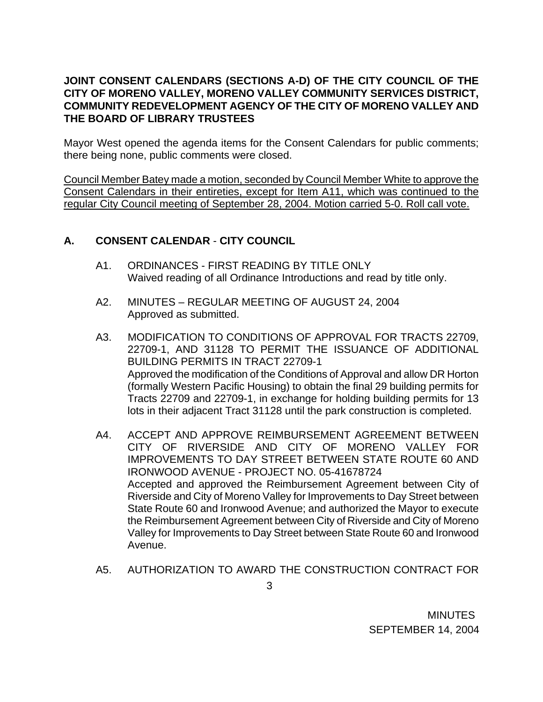## **JOINT CONSENT CALENDARS (SECTIONS A-D) OF THE CITY COUNCIL OF THE CITY OF MORENO VALLEY, MORENO VALLEY COMMUNITY SERVICES DISTRICT, COMMUNITY REDEVELOPMENT AGENCY OF THE CITY OF MORENO VALLEY AND THE BOARD OF LIBRARY TRUSTEES**

Mayor West opened the agenda items for the Consent Calendars for public comments; there being none, public comments were closed.

Council Member Batey made a motion, seconded by Council Member White to approve the Consent Calendars in their entireties, except for Item A11, which was continued to the regular City Council meeting of September 28, 2004. Motion carried 5-0. Roll call vote.

# **A. CONSENT CALENDAR** - **CITY COUNCIL**

- A1. ORDINANCES FIRST READING BY TITLE ONLY Waived reading of all Ordinance Introductions and read by title only.
- A2. MINUTES REGULAR MEETING OF AUGUST 24, 2004 Approved as submitted.
- A3. MODIFICATION TO CONDITIONS OF APPROVAL FOR TRACTS 22709, 22709-1, AND 31128 TO PERMIT THE ISSUANCE OF ADDITIONAL BUILDING PERMITS IN TRACT 22709-1 Approved the modification of the Conditions of Approval and allow DR Horton (formally Western Pacific Housing) to obtain the final 29 building permits for Tracts 22709 and 22709-1, in exchange for holding building permits for 13 lots in their adjacent Tract 31128 until the park construction is completed.
- A4. ACCEPT AND APPROVE REIMBURSEMENT AGREEMENT BETWEEN CITY OF RIVERSIDE AND CITY OF MORENO VALLEY FOR IMPROVEMENTS TO DAY STREET BETWEEN STATE ROUTE 60 AND IRONWOOD AVENUE - PROJECT NO. 05-41678724 Accepted and approved the Reimbursement Agreement between City of Riverside and City of Moreno Valley for Improvements to Day Street between State Route 60 and Ironwood Avenue; and authorized the Mayor to execute the Reimbursement Agreement between City of Riverside and City of Moreno Valley for Improvements to Day Street between State Route 60 and Ironwood Avenue.
- A5. AUTHORIZATION TO AWARD THE CONSTRUCTION CONTRACT FOR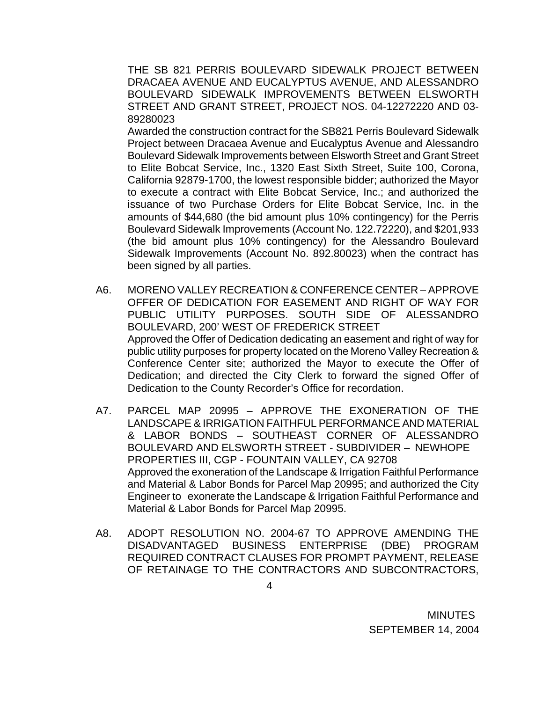THE SB 821 PERRIS BOULEVARD SIDEWALK PROJECT BETWEEN DRACAEA AVENUE AND EUCALYPTUS AVENUE, AND ALESSANDRO BOULEVARD SIDEWALK IMPROVEMENTS BETWEEN ELSWORTH STREET AND GRANT STREET, PROJECT NOS. 04-12272220 AND 03- 89280023

 Awarded the construction contract for the SB821 Perris Boulevard Sidewalk Project between Dracaea Avenue and Eucalyptus Avenue and Alessandro Boulevard Sidewalk Improvements between Elsworth Street and Grant Street to Elite Bobcat Service, Inc., 1320 East Sixth Street, Suite 100, Corona, California 92879-1700, the lowest responsible bidder; authorized the Mayor to execute a contract with Elite Bobcat Service, Inc.; and authorized the issuance of two Purchase Orders for Elite Bobcat Service, Inc. in the amounts of \$44,680 (the bid amount plus 10% contingency) for the Perris Boulevard Sidewalk Improvements (Account No. 122.72220), and \$201,933 (the bid amount plus 10% contingency) for the Alessandro Boulevard Sidewalk Improvements (Account No. 892.80023) when the contract has been signed by all parties.

- A6. MORENO VALLEY RECREATION & CONFERENCE CENTER APPROVE OFFER OF DEDICATION FOR EASEMENT AND RIGHT OF WAY FOR PUBLIC UTILITY PURPOSES. SOUTH SIDE OF ALESSANDRO BOULEVARD, 200' WEST OF FREDERICK STREET Approved the Offer of Dedication dedicating an easement and right of way for public utility purposes for property located on the Moreno Valley Recreation & Conference Center site; authorized the Mayor to execute the Offer of Dedication; and directed the City Clerk to forward the signed Offer of Dedication to the County Recorder's Office for recordation.
- A7. PARCEL MAP 20995 APPROVE THE EXONERATION OF THE LANDSCAPE & IRRIGATION FAITHFUL PERFORMANCE AND MATERIAL & LABOR BONDS – SOUTHEAST CORNER OF ALESSANDRO BOULEVARD AND ELSWORTH STREET - SUBDIVIDER – NEWHOPE PROPERTIES III, CGP - FOUNTAIN VALLEY, CA 92708 Approved the exoneration of the Landscape & Irrigation Faithful Performance and Material & Labor Bonds for Parcel Map 20995; and authorized the City Engineer to exonerate the Landscape & Irrigation Faithful Performance and Material & Labor Bonds for Parcel Map 20995.
- A8. ADOPT RESOLUTION NO. 2004-67 TO APPROVE AMENDING THE DISADVANTAGED BUSINESS ENTERPRISE (DBE) PROGRAM REQUIRED CONTRACT CLAUSES FOR PROMPT PAYMENT, RELEASE OF RETAINAGE TO THE CONTRACTORS AND SUBCONTRACTORS,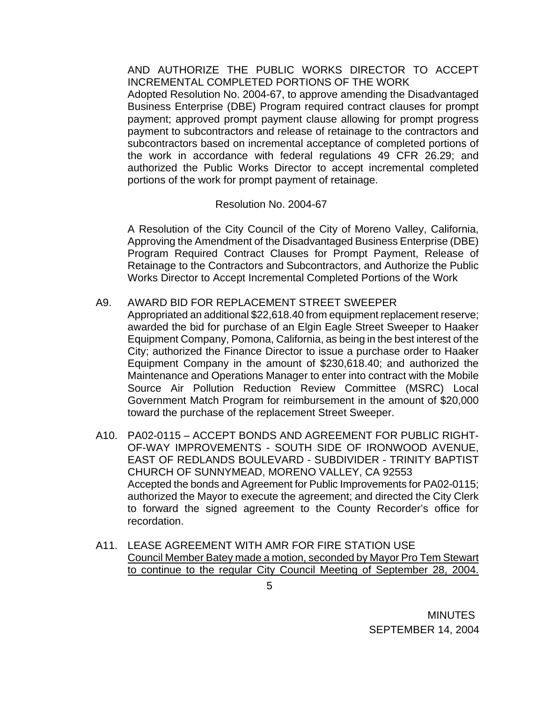AND AUTHORIZE THE PUBLIC WORKS DIRECTOR TO ACCEPT INCREMENTAL COMPLETED PORTIONS OF THE WORK

 Adopted Resolution No. 2004-67, to approve amending the Disadvantaged Business Enterprise (DBE) Program required contract clauses for prompt payment; approved prompt payment clause allowing for prompt progress payment to subcontractors and release of retainage to the contractors and subcontractors based on incremental acceptance of completed portions of the work in accordance with federal regulations 49 CFR 26.29; and authorized the Public Works Director to accept incremental completed portions of the work for prompt payment of retainage.

### Resolution No. 2004-67

 A Resolution of the City Council of the City of Moreno Valley, California, Approving the Amendment of the Disadvantaged Business Enterprise (DBE) Program Required Contract Clauses for Prompt Payment, Release of Retainage to the Contractors and Subcontractors, and Authorize the Public Works Director to Accept Incremental Completed Portions of the Work

### A9. AWARD BID FOR REPLACEMENT STREET SWEEPER

 Appropriated an additional \$22,618.40 from equipment replacement reserve; awarded the bid for purchase of an Elgin Eagle Street Sweeper to Haaker Equipment Company, Pomona, California, as being in the best interest of the City; authorized the Finance Director to issue a purchase order to Haaker Equipment Company in the amount of \$230,618.40; and authorized the Maintenance and Operations Manager to enter into contract with the Mobile Source Air Pollution Reduction Review Committee (MSRC) Local Government Match Program for reimbursement in the amount of \$20,000 toward the purchase of the replacement Street Sweeper.

- A10. PA02-0115 ACCEPT BONDS AND AGREEMENT FOR PUBLIC RIGHT-OF-WAY IMPROVEMENTS - SOUTH SIDE OF IRONWOOD AVENUE, EAST OF REDLANDS BOULEVARD - SUBDIVIDER - TRINITY BAPTIST CHURCH OF SUNNYMEAD, MORENO VALLEY, CA 92553 Accepted the bonds and Agreement for Public Improvements for PA02-0115; authorized the Mayor to execute the agreement; and directed the City Clerk to forward the signed agreement to the County Recorder's office for recordation.
- A11. LEASE AGREEMENT WITH AMR FOR FIRE STATION USE Council Member Batey made a motion, seconded by Mayor Pro Tem Stewart to continue to the regular City Council Meeting of September 28, 2004.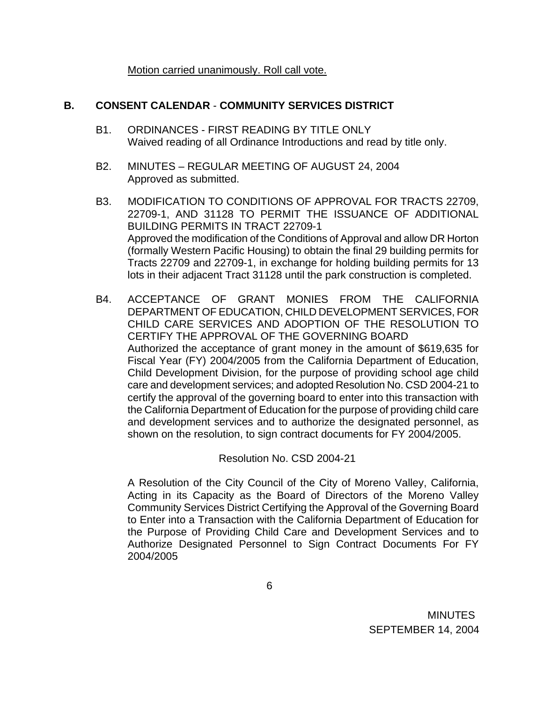Motion carried unanimously. Roll call vote.

### **B. CONSENT CALENDAR** - **COMMUNITY SERVICES DISTRICT**

- B1. ORDINANCES FIRST READING BY TITLE ONLY Waived reading of all Ordinance Introductions and read by title only.
- B2. MINUTES REGULAR MEETING OF AUGUST 24, 2004 Approved as submitted.
- B3. MODIFICATION TO CONDITIONS OF APPROVAL FOR TRACTS 22709, 22709-1, AND 31128 TO PERMIT THE ISSUANCE OF ADDITIONAL BUILDING PERMITS IN TRACT 22709-1 Approved the modification of the Conditions of Approval and allow DR Horton (formally Western Pacific Housing) to obtain the final 29 building permits for Tracts 22709 and 22709-1, in exchange for holding building permits for 13 lots in their adjacent Tract 31128 until the park construction is completed.
- B4. ACCEPTANCE OF GRANT MONIES FROM THE CALIFORNIA DEPARTMENT OF EDUCATION, CHILD DEVELOPMENT SERVICES, FOR CHILD CARE SERVICES AND ADOPTION OF THE RESOLUTION TO CERTIFY THE APPROVAL OF THE GOVERNING BOARD Authorized the acceptance of grant money in the amount of \$619,635 for Fiscal Year (FY) 2004/2005 from the California Department of Education, Child Development Division, for the purpose of providing school age child care and development services; and adopted Resolution No. CSD 2004-21 to certify the approval of the governing board to enter into this transaction with the California Department of Education for the purpose of providing child care and development services and to authorize the designated personnel, as shown on the resolution, to sign contract documents for FY 2004/2005.

Resolution No. CSD 2004-21

 A Resolution of the City Council of the City of Moreno Valley, California, Acting in its Capacity as the Board of Directors of the Moreno Valley Community Services District Certifying the Approval of the Governing Board to Enter into a Transaction with the California Department of Education for the Purpose of Providing Child Care and Development Services and to Authorize Designated Personnel to Sign Contract Documents For FY 2004/2005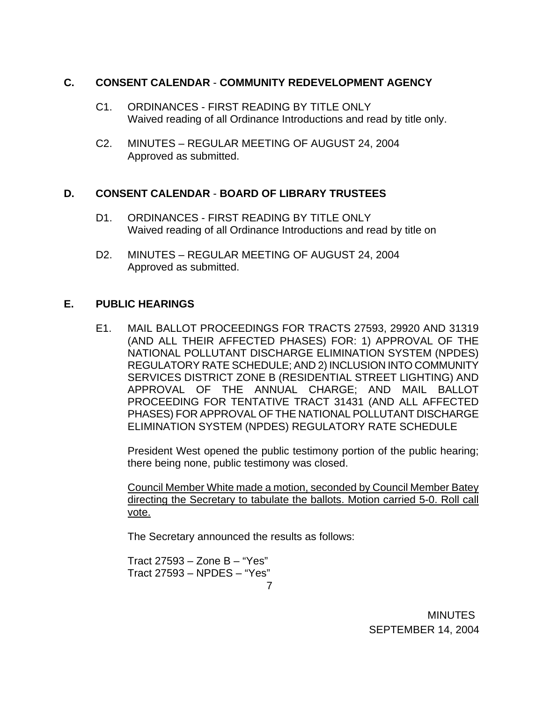### **C. CONSENT CALENDAR** - **COMMUNITY REDEVELOPMENT AGENCY**

- C1. ORDINANCES FIRST READING BY TITLE ONLY Waived reading of all Ordinance Introductions and read by title only.
- C2. MINUTES REGULAR MEETING OF AUGUST 24, 2004 Approved as submitted.

# **D. CONSENT CALENDAR** - **BOARD OF LIBRARY TRUSTEES**

- D1. ORDINANCES FIRST READING BY TITLE ONLY Waived reading of all Ordinance Introductions and read by title on
- D2. MINUTES REGULAR MEETING OF AUGUST 24, 2004 Approved as submitted.

# **E. PUBLIC HEARINGS**

 E1. MAIL BALLOT PROCEEDINGS FOR TRACTS 27593, 29920 AND 31319 (AND ALL THEIR AFFECTED PHASES) FOR: 1) APPROVAL OF THE NATIONAL POLLUTANT DISCHARGE ELIMINATION SYSTEM (NPDES) REGULATORY RATE SCHEDULE; AND 2) INCLUSION INTO COMMUNITY SERVICES DISTRICT ZONE B (RESIDENTIAL STREET LIGHTING) AND APPROVAL OF THE ANNUAL CHARGE; AND MAIL BALLOT PROCEEDING FOR TENTATIVE TRACT 31431 (AND ALL AFFECTED PHASES) FOR APPROVAL OF THE NATIONAL POLLUTANT DISCHARGE ELIMINATION SYSTEM (NPDES) REGULATORY RATE SCHEDULE

President West opened the public testimony portion of the public hearing; there being none, public testimony was closed.

 Council Member White made a motion, seconded by Council Member Batey directing the Secretary to tabulate the ballots. Motion carried 5-0. Roll call vote.

The Secretary announced the results as follows:

 7 Tract 27593 – Zone B – "Yes" Tract 27593 – NPDES – "Yes"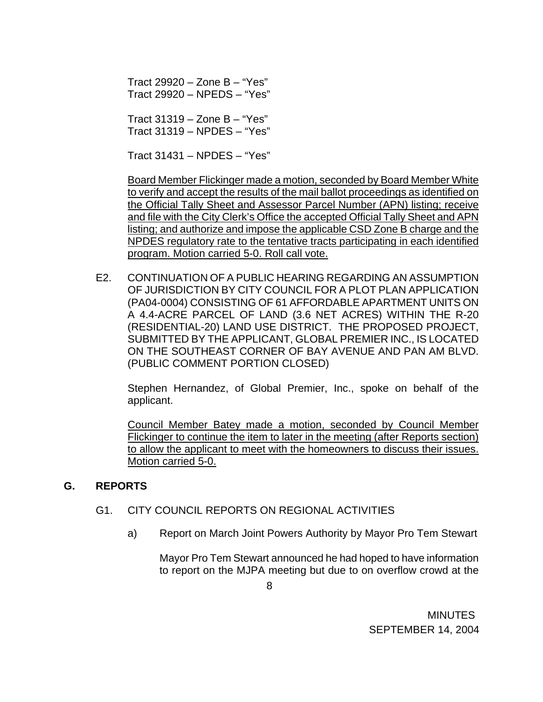Tract 29920 – Zone B – "Yes" Tract 29920 – NPEDS – "Yes"

 Tract 31319 – Zone B – "Yes" Tract 31319 – NPDES – "Yes"

Tract 31431 – NPDES – "Yes"

 Board Member Flickinger made a motion, seconded by Board Member White to verify and accept the results of the mail ballot proceedings as identified on the Official Tally Sheet and Assessor Parcel Number (APN) listing; receive and file with the City Clerk's Office the accepted Official Tally Sheet and APN listing; and authorize and impose the applicable CSD Zone B charge and the NPDES regulatory rate to the tentative tracts participating in each identified program. Motion carried 5-0. Roll call vote.

E2. CONTINUATION OF A PUBLIC HEARING REGARDING AN ASSUMPTION OF JURISDICTION BY CITY COUNCIL FOR A PLOT PLAN APPLICATION (PA04-0004) CONSISTING OF 61 AFFORDABLE APARTMENT UNITS ON A 4.4-ACRE PARCEL OF LAND (3.6 NET ACRES) WITHIN THE R-20 (RESIDENTIAL-20) LAND USE DISTRICT. THE PROPOSED PROJECT, SUBMITTED BY THE APPLICANT, GLOBAL PREMIER INC., IS LOCATED ON THE SOUTHEAST CORNER OF BAY AVENUE AND PAN AM BLVD. (PUBLIC COMMENT PORTION CLOSED)

 Stephen Hernandez, of Global Premier, Inc., spoke on behalf of the applicant.

 Council Member Batey made a motion, seconded by Council Member Flickinger to continue the item to later in the meeting (after Reports section) to allow the applicant to meet with the homeowners to discuss their issues. Motion carried 5-0.

# **G. REPORTS**

### G1. CITY COUNCIL REPORTS ON REGIONAL ACTIVITIES

a) Report on March Joint Powers Authority by Mayor Pro Tem Stewart

Mayor Pro Tem Stewart announced he had hoped to have information to report on the MJPA meeting but due to on overflow crowd at the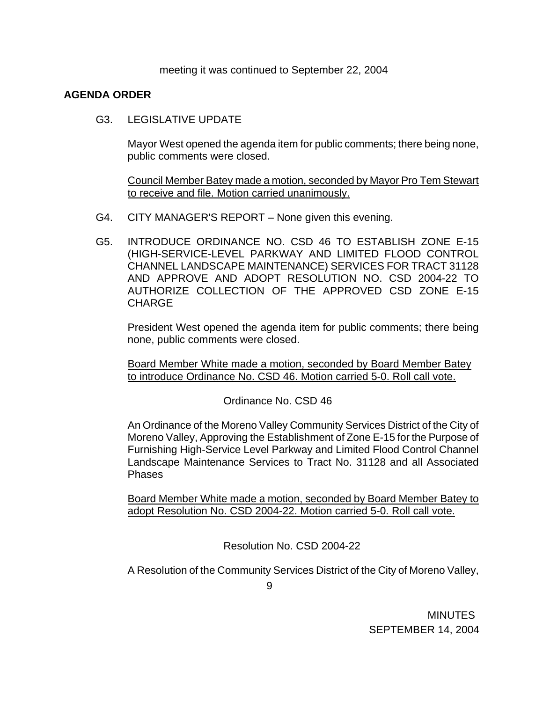meeting it was continued to September 22, 2004

### **AGENDA ORDER**

G3. LEGISLATIVE UPDATE

Mayor West opened the agenda item for public comments; there being none, public comments were closed.

Council Member Batey made a motion, seconded by Mayor Pro Tem Stewart to receive and file. Motion carried unanimously.

- G4. CITY MANAGER'S REPORT None given this evening.
- G5. INTRODUCE ORDINANCE NO. CSD 46 TO ESTABLISH ZONE E-15 (HIGH-SERVICE-LEVEL PARKWAY AND LIMITED FLOOD CONTROL CHANNEL LANDSCAPE MAINTENANCE) SERVICES FOR TRACT 31128 AND APPROVE AND ADOPT RESOLUTION NO. CSD 2004-22 TO AUTHORIZE COLLECTION OF THE APPROVED CSD ZONE E-15 **CHARGE**

 President West opened the agenda item for public comments; there being none, public comments were closed.

 Board Member White made a motion, seconded by Board Member Batey to introduce Ordinance No. CSD 46. Motion carried 5-0. Roll call vote.

Ordinance No. CSD 46

 An Ordinance of the Moreno Valley Community Services District of the City of Moreno Valley, Approving the Establishment of Zone E-15 for the Purpose of Furnishing High-Service Level Parkway and Limited Flood Control Channel Landscape Maintenance Services to Tract No. 31128 and all Associated Phases

Board Member White made a motion, seconded by Board Member Batey to adopt Resolution No. CSD 2004-22. Motion carried 5-0. Roll call vote.

Resolution No. CSD 2004-22

A Resolution of the Community Services District of the City of Moreno Valley,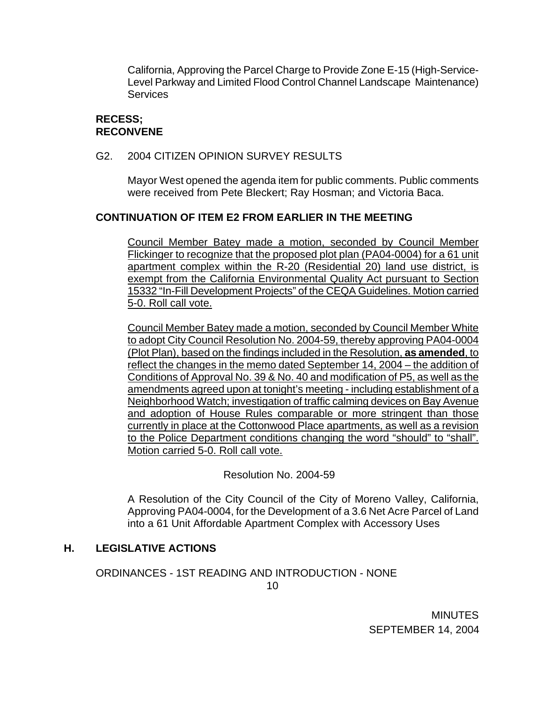California, Approving the Parcel Charge to Provide Zone E-15 (High-Service-Level Parkway and Limited Flood Control Channel Landscape Maintenance) **Services** 

## **RECESS; RECONVENE**

#### G2. 2004 CITIZEN OPINION SURVEY RESULTS

 Mayor West opened the agenda item for public comments. Public comments were received from Pete Bleckert; Ray Hosman; and Victoria Baca.

### **CONTINUATION OF ITEM E2 FROM EARLIER IN THE MEETING**

Council Member Batey made a motion, seconded by Council Member Flickinger to recognize that the proposed plot plan (PA04-0004) for a 61 unit apartment complex within the R-20 (Residential 20) land use district, is exempt from the California Environmental Quality Act pursuant to Section 15332 "In-Fill Development Projects" of the CEQA Guidelines. Motion carried 5-0. Roll call vote.

Council Member Batey made a motion, seconded by Council Member White to adopt City Council Resolution No. 2004-59, thereby approving PA04-0004 (Plot Plan), based on the findings included in the Resolution, **as amended**, to reflect the changes in the memo dated September 14, 2004 – the addition of Conditions of Approval No. 39 & No. 40 and modification of P5, as well as the amendments agreed upon at tonight's meeting - including establishment of a Neighborhood Watch; investigation of traffic calming devices on Bay Avenue and adoption of House Rules comparable or more stringent than those currently in place at the Cottonwood Place apartments, as well as a revision to the Police Department conditions changing the word "should" to "shall". Motion carried 5-0. Roll call vote.

### Resolution No. 2004-59

 A Resolution of the City Council of the City of Moreno Valley, California, Approving PA04-0004, for the Development of a 3.6 Net Acre Parcel of Land into a 61 Unit Affordable Apartment Complex with Accessory Uses

### **H. LEGISLATIVE ACTIONS**

ORDINANCES - 1ST READING AND INTRODUCTION - NONE

<u>10</u>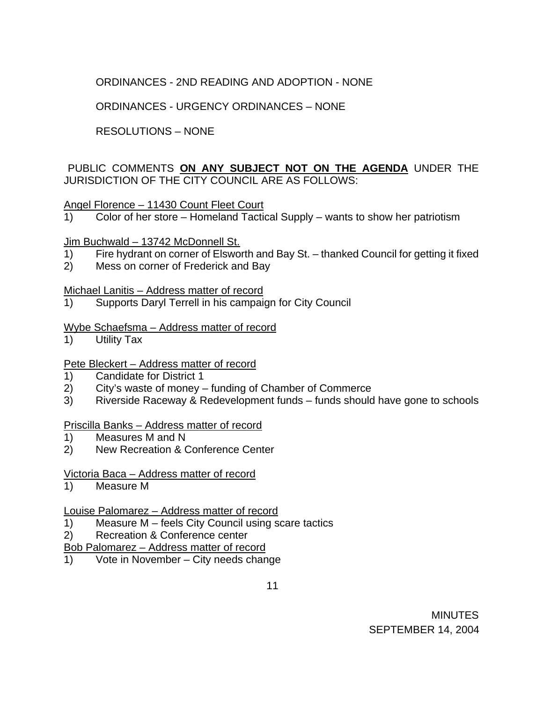# ORDINANCES - 2ND READING AND ADOPTION - NONE

ORDINANCES - URGENCY ORDINANCES – NONE

# RESOLUTIONS – NONE

## PUBLIC COMMENTS **ON ANY SUBJECT NOT ON THE AGENDA** UNDER THE JURISDICTION OF THE CITY COUNCIL ARE AS FOLLOWS:

### Angel Florence – 11430 Count Fleet Court

1) Color of her store – Homeland Tactical Supply – wants to show her patriotism

#### Jim Buchwald - 13742 McDonnell St.

- 1) Fire hydrant on corner of Elsworth and Bay St. thanked Council for getting it fixed
- 2) Mess on corner of Frederick and Bay

#### Michael Lanitis – Address matter of record

1) Supports Daryl Terrell in his campaign for City Council

#### Wybe Schaefsma – Address matter of record

1) Utility Tax

### Pete Bleckert – Address matter of record

- 1) Candidate for District 1
- 2) City's waste of money funding of Chamber of Commerce
- 3) Riverside Raceway & Redevelopment funds funds should have gone to schools

### Priscilla Banks – Address matter of record

- 1) Measures M and N
- 2) New Recreation & Conference Center

#### Victoria Baca – Address matter of record

1) Measure M

### Louise Palomarez – Address matter of record

- 1) Measure M feels City Council using scare tactics
- 2) Recreation & Conference center
- Bob Palomarez Address matter of record
- 1) Vote in November City needs change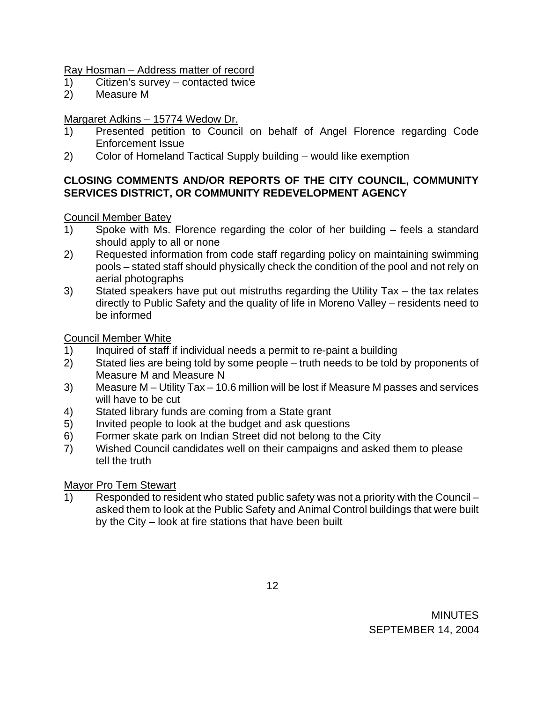### Ray Hosman – Address matter of record

- 1) Citizen's survey contacted twice
- 2) Measure M

# Margaret Adkins – 15774 Wedow Dr.

- 1) Presented petition to Council on behalf of Angel Florence regarding Code Enforcement Issue
- 2) Color of Homeland Tactical Supply building would like exemption

# **CLOSING COMMENTS AND/OR REPORTS OF THE CITY COUNCIL, COMMUNITY SERVICES DISTRICT, OR COMMUNITY REDEVELOPMENT AGENCY**

# Council Member Batey

- 1) Spoke with Ms. Florence regarding the color of her building feels a standard should apply to all or none
- 2) Requested information from code staff regarding policy on maintaining swimming pools – stated staff should physically check the condition of the pool and not rely on aerial photographs
- 3) Stated speakers have put out mistruths regarding the Utility Tax the tax relates directly to Public Safety and the quality of life in Moreno Valley – residents need to be informed

Council Member White

- 1) Inquired of staff if individual needs a permit to re-paint a building
- 2) Stated lies are being told by some people truth needs to be told by proponents of Measure M and Measure N
- 3) Measure M Utility Tax 10.6 million will be lost if Measure M passes and services will have to be cut
- 4) Stated library funds are coming from a State grant
- 5) Invited people to look at the budget and ask questions
- 6) Former skate park on Indian Street did not belong to the City
- 7) Wished Council candidates well on their campaigns and asked them to please tell the truth

# Mayor Pro Tem Stewart

1) Responded to resident who stated public safety was not a priority with the Council – asked them to look at the Public Safety and Animal Control buildings that were built by the City – look at fire stations that have been built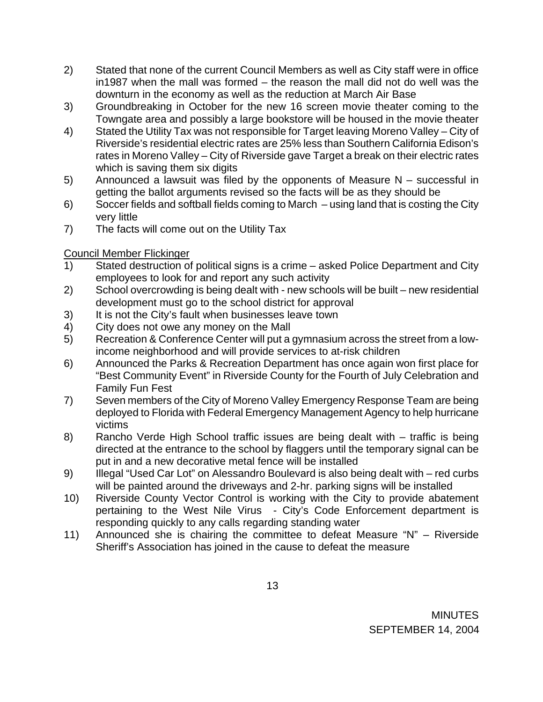- 2) Stated that none of the current Council Members as well as City staff were in office in1987 when the mall was formed – the reason the mall did not do well was the downturn in the economy as well as the reduction at March Air Base
- 3) Groundbreaking in October for the new 16 screen movie theater coming to the Towngate area and possibly a large bookstore will be housed in the movie theater
- 4) Stated the Utility Tax was not responsible for Target leaving Moreno Valley City of Riverside's residential electric rates are 25% less than Southern California Edison's rates in Moreno Valley – City of Riverside gave Target a break on their electric rates which is saving them six digits
- 5) Announced a lawsuit was filed by the opponents of Measure N successful in getting the ballot arguments revised so the facts will be as they should be
- 6) Soccer fields and softball fields coming to March using land that is costing the City very little
- 7) The facts will come out on the Utility Tax

# Council Member Flickinger

- 1) Stated destruction of political signs is a crime asked Police Department and City employees to look for and report any such activity
- 2) School overcrowding is being dealt with new schools will be built new residential development must go to the school district for approval
- 3) It is not the City's fault when businesses leave town
- 4) City does not owe any money on the Mall
- 5) Recreation & Conference Center will put a gymnasium across the street from a lowincome neighborhood and will provide services to at-risk children
- 6) Announced the Parks & Recreation Department has once again won first place for "Best Community Event" in Riverside County for the Fourth of July Celebration and Family Fun Fest
- 7) Seven members of the City of Moreno Valley Emergency Response Team are being deployed to Florida with Federal Emergency Management Agency to help hurricane victims
- 8) Rancho Verde High School traffic issues are being dealt with traffic is being directed at the entrance to the school by flaggers until the temporary signal can be put in and a new decorative metal fence will be installed
- 9) Illegal "Used Car Lot" on Alessandro Boulevard is also being dealt with red curbs will be painted around the driveways and 2-hr. parking signs will be installed
- 10) Riverside County Vector Control is working with the City to provide abatement pertaining to the West Nile Virus - City's Code Enforcement department is responding quickly to any calls regarding standing water
- 11) Announced she is chairing the committee to defeat Measure "N" Riverside Sheriff's Association has joined in the cause to defeat the measure